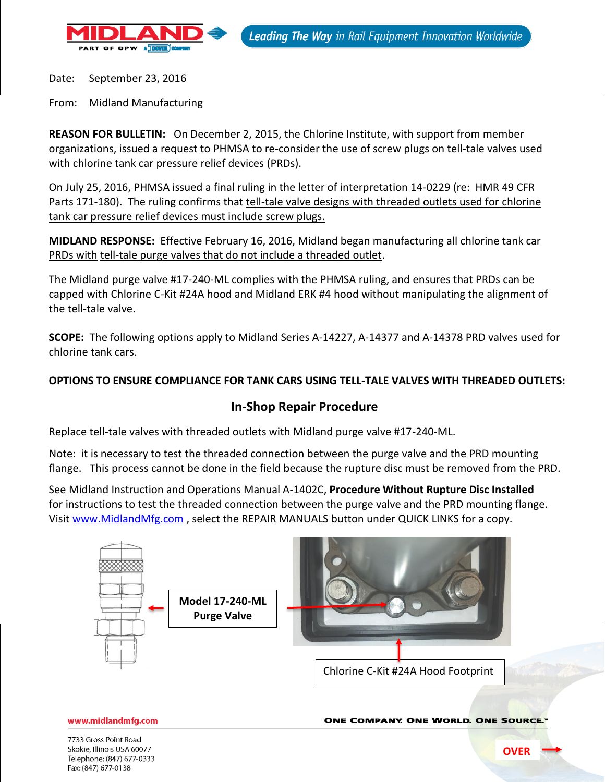

Date: September 23, 2016

From: Midland Manufacturing

**REASON FOR BULLETIN:** On December 2, 2015, the Chlorine Institute, with support from member organizations, issued a request to PHMSA to re-consider the use of screw plugs on tell-tale valves used with chlorine tank car pressure relief devices (PRDs).

On July 25, 2016, PHMSA issued a final ruling in the letter of interpretation 14-0229 (re: HMR 49 CFR Parts 171-180). The ruling confirms that tell-tale valve designs with threaded outlets used for chlorine tank car pressure relief devices must include screw plugs.

**MIDLAND RESPONSE:** Effective February 16, 2016, Midland began manufacturing all chlorine tank car PRDs with tell-tale purge valves that do not include a threaded outlet.

The Midland purge valve #17-240-ML complies with the PHMSA ruling, and ensures that PRDs can be capped with Chlorine C-Kit #24A hood and Midland ERK #4 hood without manipulating the alignment of the tell-tale valve.

**SCOPE:** The following options apply to Midland Series A-14227, A-14377 and A-14378 PRD valves used for chlorine tank cars.

## **OPTIONS TO ENSURE COMPLIANCE FOR TANK CARS USING TELL-TALE VALVES WITH THREADED OUTLETS:**

## **In-Shop Repair Procedure**

Replace tell-tale valves with threaded outlets with Midland purge valve #17-240-ML.

Note: it is necessary to test the threaded connection between the purge valve and the PRD mounting flange. This process cannot be done in the field because the rupture disc must be removed from the PRD.

See Midland Instruction and Operations Manual A-1402C, **Procedure Without Rupture Disc Installed** for instructions to test the threaded connection between the purge valve and the PRD mounting flange. Visit [www.MidlandMfg.com](http://www.midlandmfg.com/), select the REPAIR MANUALS button under QUICK LINKS for a copy.